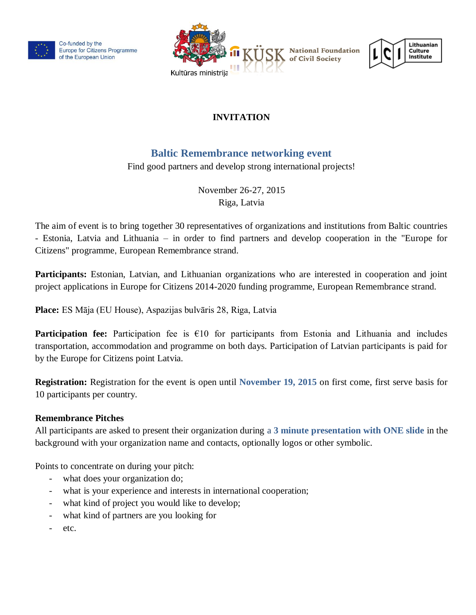

Co-funded by the Europe for Citizens Programme of the European Union





# **INVITATION**

# **Baltic Remembrance networking event**

Find good partners and develop strong international projects!

November 26-27, 2015 Riga, Latvia

The aim of event is to bring together 30 representatives of organizations and institutions from Baltic countries - Estonia, Latvia and Lithuania – in order to find partners and develop cooperation in the "Europe for Citizens" programme, European Remembrance strand.

**Participants:** Estonian, Latvian, and Lithuanian organizations who are interested in cooperation and joint project applications in Europe for Citizens 2014-2020 funding programme, European Remembrance strand.

**Place:** ES Māja (EU House), Aspazijas bulvāris 28, Riga, Latvia

**Participation fee:** Participation fee is €10 for participants from Estonia and Lithuania and includes transportation, accommodation and programme on both days. Participation of Latvian participants is paid for by the Europe for Citizens point Latvia.

**Registration[:](https://docs.google.com/forms/d/10bNmzeXPGgoQRUnzzAbM8wI0Lgm5l1c47yajCz4tMiU/viewform)** Registration for the event is open until **November 19, 2015** on first come, first serve basis for 10 participants per country.

### **Remembrance Pitches**

All participants are asked to present their organization during a **3 minute presentation with ONE slide** in the background with your organization name and contacts, optionally logos or other symbolic.

Points to concentrate on during your pitch:

- what does your organization do;
- what is your experience and interests in international cooperation;
- what kind of project you would like to develop;
- what kind of partners are you looking for
- etc.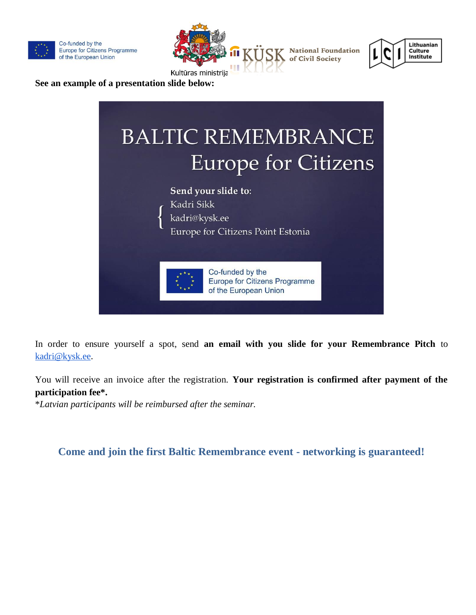







**See an example of a presentation slide below:**



Europe for Citizens Point Estonia

Co-funded by the

of the European Union

**Europe for Citizens Programme** 

In order to ensure yourself a spot, send **an email with you slide for your Remembrance Pitch** to [kadri@kysk.ee.](mailto:kadri@kysk.ee)

You will receive an invoice after the registration. **Your registration is confirmed after payment of the participation fee\*.**

\**Latvian participants will be reimbursed after the seminar.*

## **Come and join the first Baltic Remembrance event - networking is guaranteed!**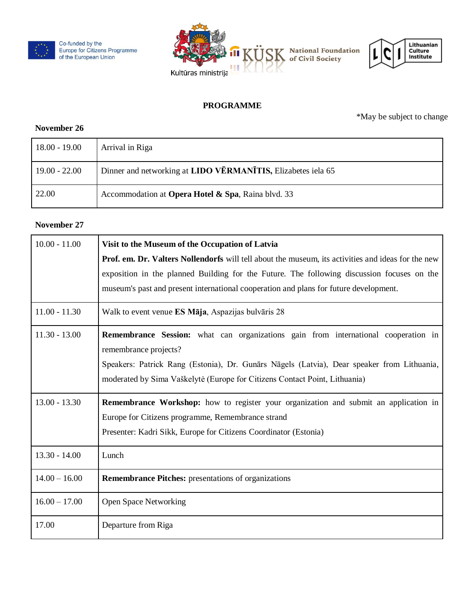





#### **PROGRAMME**

\*May be subject to change

#### **November 26**

| 18.00 - 19.00   | Arrival in Riga                                              |
|-----------------|--------------------------------------------------------------|
| $19.00 - 22.00$ | Dinner and networking at LIDO VĒRMANĪTIS, Elizabetes iela 65 |
| 22.00           | Accommodation at Opera Hotel & Spa, Raina blvd. 33           |

#### **November 27**

| $10.00 - 11.00$ | Visit to the Museum of the Occupation of Latvia                                                           |
|-----------------|-----------------------------------------------------------------------------------------------------------|
|                 | <b>Prof. em. Dr. Valters Nollendorfs</b> will tell about the museum, its activities and ideas for the new |
|                 | exposition in the planned Building for the Future. The following discussion focuses on the                |
|                 | museum's past and present international cooperation and plans for future development.                     |
| $11.00 - 11.30$ | Walk to event venue ES Māja, Aspazijas bulvāris 28                                                        |
| $11.30 - 13.00$ | <b>Remembrance Session:</b> what can organizations gain from international cooperation in                 |
|                 | remembrance projects?                                                                                     |
|                 | Speakers: Patrick Rang (Estonia), Dr. Gunārs Nāgels (Latvia), Dear speaker from Lithuania,                |
|                 | moderated by Sima Vaškelytė (Europe for Citizens Contact Point, Lithuania)                                |
| $13.00 - 13.30$ | <b>Remembrance Workshop:</b> how to register your organization and submit an application in               |
|                 | Europe for Citizens programme, Remembrance strand                                                         |
|                 | Presenter: Kadri Sikk, Europe for Citizens Coordinator (Estonia)                                          |
| $13.30 - 14.00$ | Lunch                                                                                                     |
| $14.00 - 16.00$ | <b>Remembrance Pitches:</b> presentations of organizations                                                |
| $16.00 - 17.00$ | <b>Open Space Networking</b>                                                                              |
| 17.00           | Departure from Riga                                                                                       |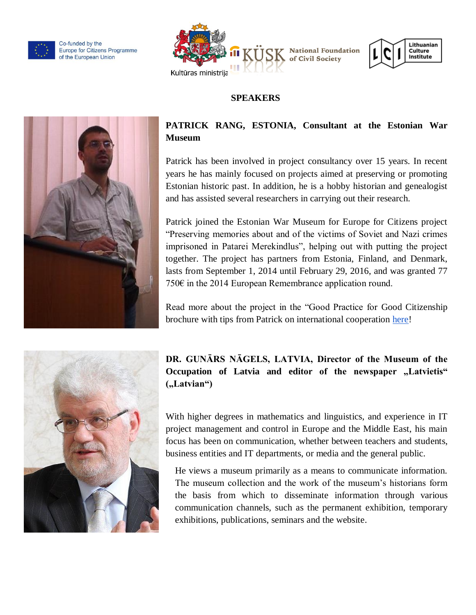

Co-funded by the Europe for Citizens Programme of the European Union





## **SPEAKERS**



## **PATRICK RANG, ESTONIA, Consultant at the Estonian War Museum**

Patrick has been involved in project consultancy over 15 years. In recent years he has mainly focused on projects aimed at preserving or promoting Estonian historic past. In addition, he is a hobby historian and genealogist and has assisted several researchers in carrying out their research.

Patrick joined the Estonian War Museum for Europe for Citizens project "Preserving memories about and of the victims of Soviet and Nazi crimes imprisoned in Patarei Merekindlus", helping out with putting the project together. The project has partners from Estonia, Finland, and Denmark, lasts from September 1, 2014 until February 29, 2016, and was granted 77 750€ in the 2014 European Remembrance application round.

Read more about the project in the "Good Practice for Good Citizenship brochure with tips from Patrick on international cooperation [here!](http://www.kysk.ee/failid/Upload/files/ECP/ECP_Brochure2015.pdf)



# **DR. GUNĀRS NĀGELS, LATVIA, Director of the Museum of the**  Occupation of Latvia and editor of the newspaper "Latvietis" ("Latvian")

With higher degrees in mathematics and linguistics, and experience in IT project management and control in Europe and the Middle East, his main focus has been on communication, whether between teachers and students, business entities and IT departments, or media and the general public.

He views a museum primarily as a means to communicate information. The museum collection and the work of the museum's historians form the basis from which to disseminate information through various communication channels, such as the permanent exhibition, temporary exhibitions, publications, seminars and the website.